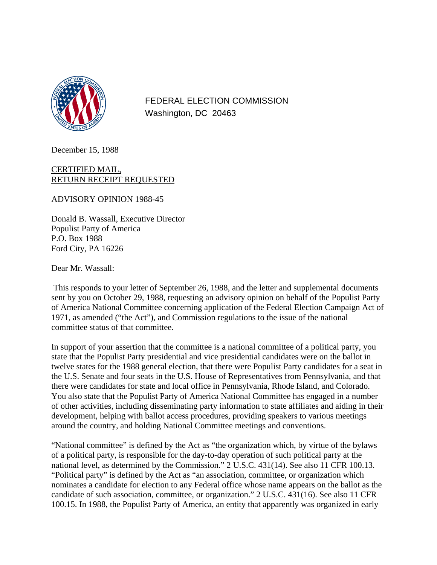

FEDERAL ELECTION COMMISSION Washington, DC 20463

December 15, 1988

## CERTIFIED MAIL, RETURN RECEIPT REQUESTED

ADVISORY OPINION 1988-45

Donald B. Wassall, Executive Director Populist Party of America P.O. Box 1988 Ford City, PA 16226

Dear Mr. Wassall:

 This responds to your letter of September 26, 1988, and the letter and supplemental documents sent by you on October 29, 1988, requesting an advisory opinion on behalf of the Populist Party of America National Committee concerning application of the Federal Election Campaign Act of 1971, as amended ("the Act"), and Commission regulations to the issue of the national committee status of that committee.

In support of your assertion that the committee is a national committee of a political party, you state that the Populist Party presidential and vice presidential candidates were on the ballot in twelve states for the 1988 general election, that there were Populist Party candidates for a seat in the U.S. Senate and four seats in the U.S. House of Representatives from Pennsylvania, and that there were candidates for state and local office in Pennsylvania, Rhode Island, and Colorado. You also state that the Populist Party of America National Committee has engaged in a number of other activities, including disseminating party information to state affiliates and aiding in their development, helping with ballot access procedures, providing speakers to various meetings around the country, and holding National Committee meetings and conventions.

"National committee" is defined by the Act as "the organization which, by virtue of the bylaws of a political party, is responsible for the day-to-day operation of such political party at the national level, as determined by the Commission." 2 U.S.C. 431(14). See also 11 CFR 100.13. "Political party" is defined by the Act as "an association, committee, or organization which nominates a candidate for election to any Federal office whose name appears on the ballot as the candidate of such association, committee, or organization." 2 U.S.C. 431(16). See also 11 CFR 100.15. In 1988, the Populist Party of America, an entity that apparently was organized in early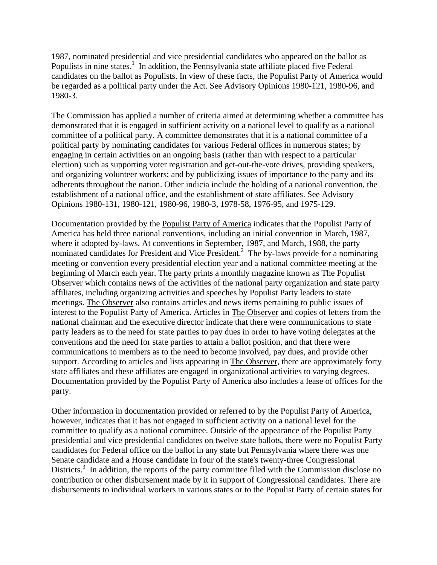1987, nominated presidential and vice presidential candidates who appeared on the ballot as Populists in nine states.<sup>1</sup> In addition, the Pennsylvania state affiliate placed five Federal candidates on the ballot as Populists. In view of these facts, the Populist Party of America would be regarded as a political party under the Act. See Advisory Opinions 1980-121, 1980-96, and 1980-3.

The Commission has applied a number of criteria aimed at determining whether a committee has demonstrated that it is engaged in sufficient activity on a national level to qualify as a national committee of a political party. A committee demonstrates that it is a national committee of a political party by nominating candidates for various Federal offices in numerous states; by engaging in certain activities on an ongoing basis (rather than with respect to a particular election) such as supporting voter registration and get-out-the-vote drives, providing speakers, and organizing volunteer workers; and by publicizing issues of importance to the party and its adherents throughout the nation. Other indicia include the holding of a national convention, the establishment of a national office, and the establishment of state affiliates. See Advisory Opinions 1980-131, 1980-121, 1980-96, 1980-3, 1978-58, 1976-95, and 1975-129.

Documentation provided by the Populist Party of America indicates that the Populist Party of America has held three national conventions, including an initial convention in March, 1987, where it adopted by-laws. At conventions in September, 1987, and March, 1988, the party nominated candidates for President and Vice President.<sup>2</sup> The by-laws provide for a nominating meeting or convention every presidential election year and a national committee meeting at the beginning of March each year. The party prints a monthly magazine known as The Populist Observer which contains news of the activities of the national party organization and state party affiliates, including organizing activities and speeches by Populist Party leaders to state meetings. The Observer also contains articles and news items pertaining to public issues of interest to the Populist Party of America. Articles in The Observer and copies of letters from the national chairman and the executive director indicate that there were communications to state party leaders as to the need for state parties to pay dues in order to have voting delegates at the conventions and the need for state parties to attain a ballot position, and that there were communications to members as to the need to become involved, pay dues, and provide other support. According to articles and lists appearing in The Observer, there are approximately forty state affiliates and these affiliates are engaged in organizational activities to varying degrees. Documentation provided by the Populist Party of America also includes a lease of offices for the party.

Other information in documentation provided or referred to by the Populist Party of America, however, indicates that it has not engaged in sufficient activity on a national level for the committee to qualify as a national committee. Outside of the appearance of the Populist Party presidential and vice presidential candidates on twelve state ballots, there were no Populist Party candidates for Federal office on the ballot in any state but Pennsylvania where there was one Senate candidate and a House candidate in four of the state's twenty-three Congressional Districts.<sup>3</sup> In addition, the reports of the party committee filed with the Commission disclose no contribution or other disbursement made by it in support of Congressional candidates. There are disbursements to individual workers in various states or to the Populist Party of certain states for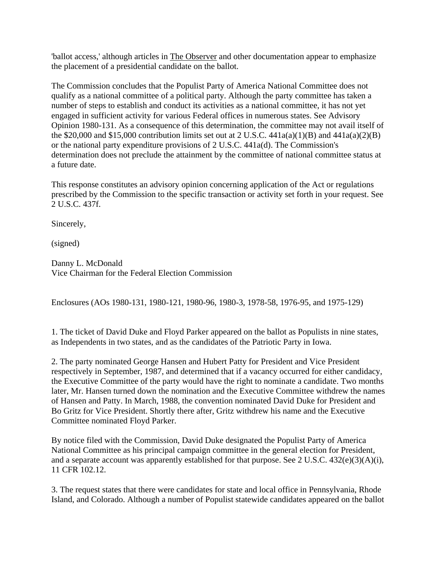'ballot access,' although articles in The Observer and other documentation appear to emphasize the placement of a presidential candidate on the ballot.

The Commission concludes that the Populist Party of America National Committee does not qualify as a national committee of a political party. Although the party committee has taken a number of steps to establish and conduct its activities as a national committee, it has not yet engaged in sufficient activity for various Federal offices in numerous states. See Advisory Opinion 1980-131. As a consequence of this determination, the committee may not avail itself of the \$20,000 and \$15,000 contribution limits set out at 2 U.S.C.  $441a(a)(1)(B)$  and  $441a(a)(2)(B)$ or the national party expenditure provisions of 2 U.S.C. 441a(d). The Commission's determination does not preclude the attainment by the committee of national committee status at a future date.

This response constitutes an advisory opinion concerning application of the Act or regulations prescribed by the Commission to the specific transaction or activity set forth in your request. See 2 U.S.C. 437f.

Sincerely,

(signed)

Danny L. McDonald Vice Chairman for the Federal Election Commission

Enclosures (AOs 1980-131, 1980-121, 1980-96, 1980-3, 1978-58, 1976-95, and 1975-129)

1. The ticket of David Duke and Floyd Parker appeared on the ballot as Populists in nine states, as Independents in two states, and as the candidates of the Patriotic Party in Iowa.

2. The party nominated George Hansen and Hubert Patty for President and Vice President respectively in September, 1987, and determined that if a vacancy occurred for either candidacy, the Executive Committee of the party would have the right to nominate a candidate. Two months later, Mr. Hansen turned down the nomination and the Executive Committee withdrew the names of Hansen and Patty. In March, 1988, the convention nominated David Duke for President and Bo Gritz for Vice President. Shortly there after, Gritz withdrew his name and the Executive Committee nominated Floyd Parker.

By notice filed with the Commission, David Duke designated the Populist Party of America National Committee as his principal campaign committee in the general election for President, and a separate account was apparently established for that purpose. See 2 U.S.C. 432(e)(3)(A)(i), 11 CFR 102.12.

3. The request states that there were candidates for state and local office in Pennsylvania, Rhode Island, and Colorado. Although a number of Populist statewide candidates appeared on the ballot